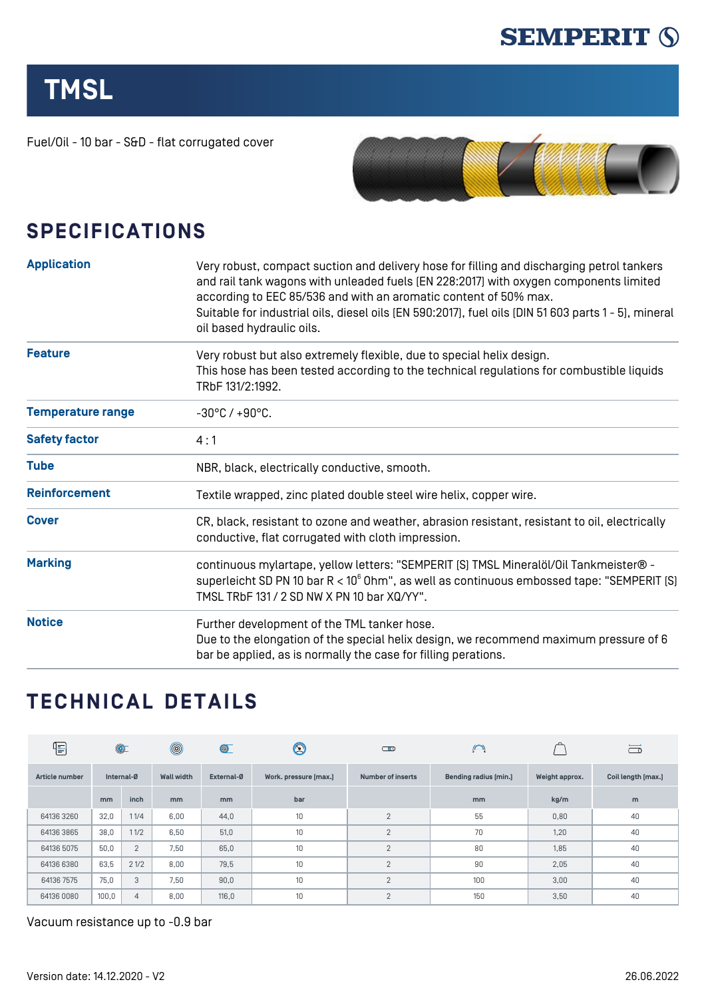

## **TMSL**

Fuel/Oil - 10 bar - S&D - flat corrugated cover



## **SPECIFICATIONS**

| <b>Application</b>       | Very robust, compact suction and delivery hose for filling and discharging petrol tankers<br>and rail tank wagons with unleaded fuels (EN 228:2017) with oxygen components limited<br>according to EEC 85/536 and with an aromatic content of 50% max.<br>Suitable for industrial oils, diesel oils (EN 590:2017), fuel oils (DIN 51 603 parts 1 - 5), mineral<br>oil based hydraulic oils. |  |  |  |
|--------------------------|---------------------------------------------------------------------------------------------------------------------------------------------------------------------------------------------------------------------------------------------------------------------------------------------------------------------------------------------------------------------------------------------|--|--|--|
| <b>Feature</b>           | Very robust but also extremely flexible, due to special helix design.<br>This hose has been tested according to the technical regulations for combustible liquids<br>TRbF 131/2:1992.                                                                                                                                                                                                       |  |  |  |
| <b>Temperature range</b> | $-30^{\circ}$ C / $+90^{\circ}$ C.                                                                                                                                                                                                                                                                                                                                                          |  |  |  |
| <b>Safety factor</b>     | 4:1                                                                                                                                                                                                                                                                                                                                                                                         |  |  |  |
| <b>Tube</b>              | NBR, black, electrically conductive, smooth.                                                                                                                                                                                                                                                                                                                                                |  |  |  |
| <b>Reinforcement</b>     | Textile wrapped, zinc plated double steel wire helix, copper wire.                                                                                                                                                                                                                                                                                                                          |  |  |  |
| <b>Cover</b>             | CR, black, resistant to ozone and weather, abrasion resistant, resistant to oil, electrically<br>conductive, flat corrugated with cloth impression.                                                                                                                                                                                                                                         |  |  |  |
| <b>Marking</b>           | continuous mylartape, yellow letters: "SEMPERIT [S] TMSL Mineralöl/Oil Tankmeister® -<br>superleicht SD PN 10 bar $R < 10^6$ Ohm", as well as continuous embossed tape: "SEMPERIT [S]<br>TMSL TRbF 131 / 2 SD NW X PN 10 bar XQ/YY".                                                                                                                                                        |  |  |  |
| <b>Notice</b>            | Further development of the TML tanker hose.<br>Due to the elongation of the special helix design, we recommend maximum pressure of 6<br>bar be applied, as is normally the case for filling perations.                                                                                                                                                                                      |  |  |  |

## **TECHNICAL DETAILS**

| $\sqrt{\frac{1}{2}}$ | $\circledcirc$ |                | $^{\circledR}$    | $\circledcirc$ | $\bm{\mathbb{Q}}$     | $\overline{\mathbf{C}}$  | $\bigcap$             |                | ా                  |
|----------------------|----------------|----------------|-------------------|----------------|-----------------------|--------------------------|-----------------------|----------------|--------------------|
| Article number       | Internal-Ø     |                | <b>Wall width</b> | External-Ø     | Work. pressure [max.] | <b>Number of inserts</b> | Bending radius [min.] | Weight approx. | Coil length [max.] |
|                      | <sub>mm</sub>  | inch           | m <sub>m</sub>    | mm             | bar                   |                          | mm                    | kg/m           | m                  |
| 64136 3260           | 32,0           | 11/4           | 6,00              | 44,0           | 10 <sup>1</sup>       | 2                        | 55                    | 0,80           | 40                 |
| 64136 3865           | 38,0           | 11/2           | 6,50              | 51,0           | 10                    | 2                        | 70                    | 1,20           | 40                 |
| 64136 5075           | 50,0           | $\overline{2}$ | 7,50              | 65,0           | 10                    | 2                        | 80                    | 1,85           | 40                 |
| 64136 6380           | 63,5           | 21/2           | 8,00              | 79,5           | 10                    | 2                        | 90                    | 2,05           | 40                 |
| 64136 7575           | 75,0           | 3              | 7,50              | 90,0           | 10                    | 2                        | 100                   | 3,00           | 40                 |
| 64136 0080           | 100,0          | $\overline{4}$ | 8,00              | 116,0          | 10                    | 2                        | 150                   | 3,50           | 40                 |

Vacuum resistance up to -0.9 bar